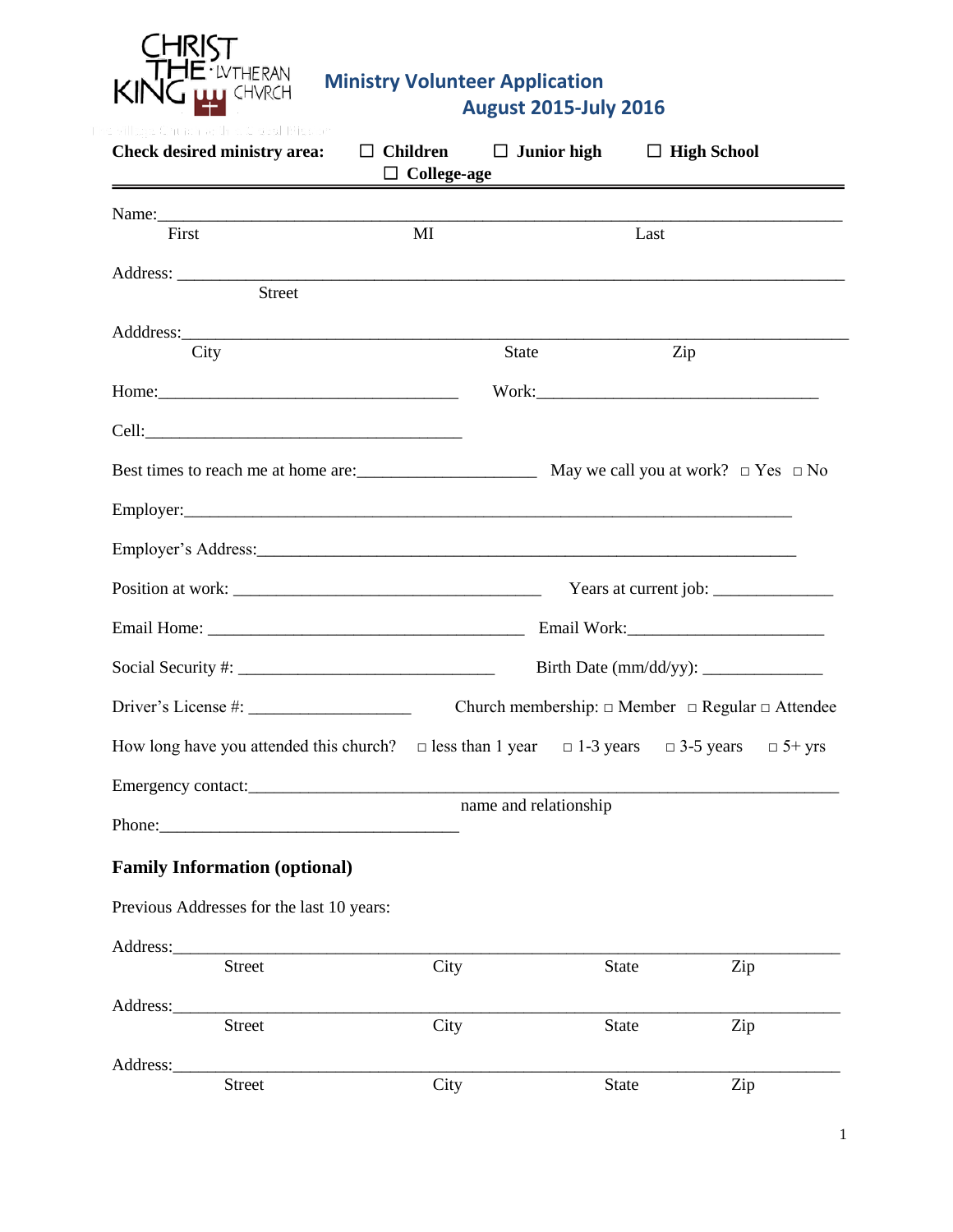

| <b>Check desired ministry area:</b>                                              | $\Box$ Children<br>$\Box$ College-age | $\Box$ Junior high                                                                                                                                                                                                                                            |              | $\Box$ High School                                              |               |
|----------------------------------------------------------------------------------|---------------------------------------|---------------------------------------------------------------------------------------------------------------------------------------------------------------------------------------------------------------------------------------------------------------|--------------|-----------------------------------------------------------------|---------------|
|                                                                                  |                                       |                                                                                                                                                                                                                                                               |              |                                                                 |               |
| First                                                                            | MI                                    |                                                                                                                                                                                                                                                               | Last         |                                                                 |               |
| <b>Street</b>                                                                    |                                       |                                                                                                                                                                                                                                                               |              |                                                                 |               |
|                                                                                  |                                       |                                                                                                                                                                                                                                                               |              |                                                                 |               |
| City                                                                             |                                       | <b>State</b>                                                                                                                                                                                                                                                  |              | Zip                                                             |               |
|                                                                                  |                                       |                                                                                                                                                                                                                                                               |              |                                                                 |               |
|                                                                                  |                                       |                                                                                                                                                                                                                                                               |              |                                                                 |               |
|                                                                                  |                                       |                                                                                                                                                                                                                                                               |              |                                                                 |               |
|                                                                                  |                                       |                                                                                                                                                                                                                                                               |              |                                                                 |               |
|                                                                                  |                                       |                                                                                                                                                                                                                                                               |              |                                                                 |               |
|                                                                                  |                                       |                                                                                                                                                                                                                                                               |              |                                                                 |               |
|                                                                                  |                                       |                                                                                                                                                                                                                                                               |              |                                                                 |               |
|                                                                                  |                                       |                                                                                                                                                                                                                                                               |              |                                                                 |               |
|                                                                                  |                                       |                                                                                                                                                                                                                                                               |              | Church membership: $\Box$ Member $\Box$ Regular $\Box$ Attendee |               |
| How long have you attended this church? $\Box$ less than 1 year $\Box$ 1-3 years |                                       |                                                                                                                                                                                                                                                               |              | $\Box$ 3-5 years                                                | $\Box$ 5+ yrs |
| Emergency contact:                                                               |                                       |                                                                                                                                                                                                                                                               |              |                                                                 |               |
|                                                                                  |                                       | name and relationship<br><u>and the state of the state of the state of the state of the state of the state of the state of the state of the state of the state of the state of the state of the state of the state of the state of the state of the state</u> |              |                                                                 |               |
| <b>Family Information (optional)</b>                                             |                                       |                                                                                                                                                                                                                                                               |              |                                                                 |               |
| Previous Addresses for the last 10 years:                                        |                                       |                                                                                                                                                                                                                                                               |              |                                                                 |               |
|                                                                                  |                                       |                                                                                                                                                                                                                                                               |              |                                                                 |               |
| <b>Street</b>                                                                    | City                                  |                                                                                                                                                                                                                                                               | State        | Zip                                                             |               |
| Address:<br><b>Street</b>                                                        | City                                  |                                                                                                                                                                                                                                                               | State        | Zip                                                             |               |
| Address:                                                                         |                                       |                                                                                                                                                                                                                                                               |              |                                                                 |               |
| <b>Street</b>                                                                    | City                                  |                                                                                                                                                                                                                                                               | <b>State</b> | Zip                                                             |               |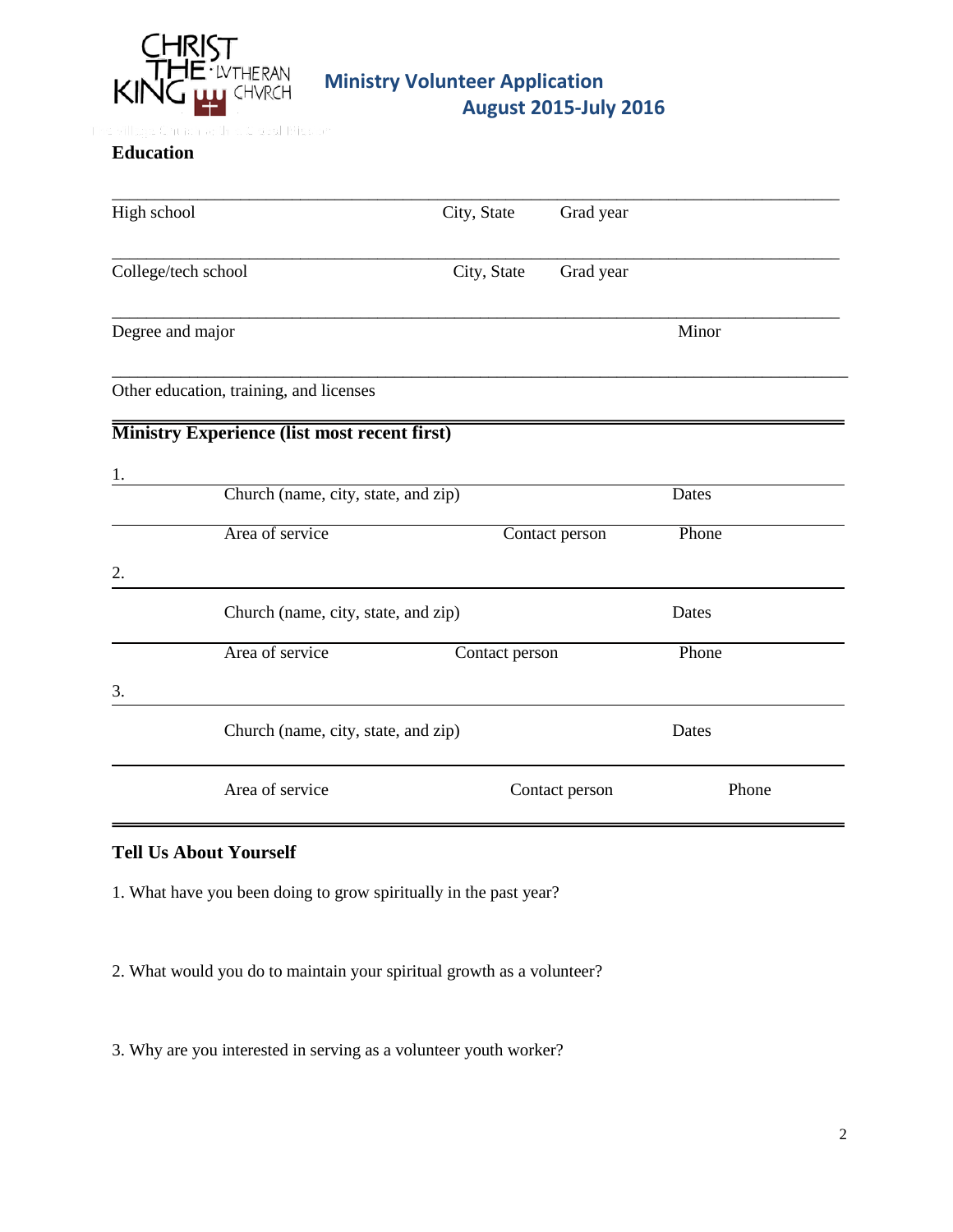

### **Education**

| High school         |                                                     | City, State    | Grad year      |       |
|---------------------|-----------------------------------------------------|----------------|----------------|-------|
| College/tech school |                                                     | City, State    | Grad year      |       |
| Degree and major    |                                                     |                |                | Minor |
|                     | Other education, training, and licenses             |                |                |       |
|                     | <b>Ministry Experience (list most recent first)</b> |                |                |       |
| 1.                  |                                                     |                |                |       |
|                     | Church (name, city, state, and zip)                 |                |                | Dates |
|                     | Area of service                                     |                | Contact person | Phone |
| 2.                  |                                                     |                |                |       |
|                     | Church (name, city, state, and zip)                 |                |                | Dates |
|                     | Area of service                                     | Contact person |                | Phone |
| 3.                  |                                                     |                |                |       |
|                     | Church (name, city, state, and zip)                 |                |                | Dates |
|                     | Area of service                                     |                | Contact person | Phone |

#### **Tell Us About Yourself**

1. What have you been doing to grow spiritually in the past year?

2. What would you do to maintain your spiritual growth as a volunteer?

3. Why are you interested in serving as a volunteer youth worker?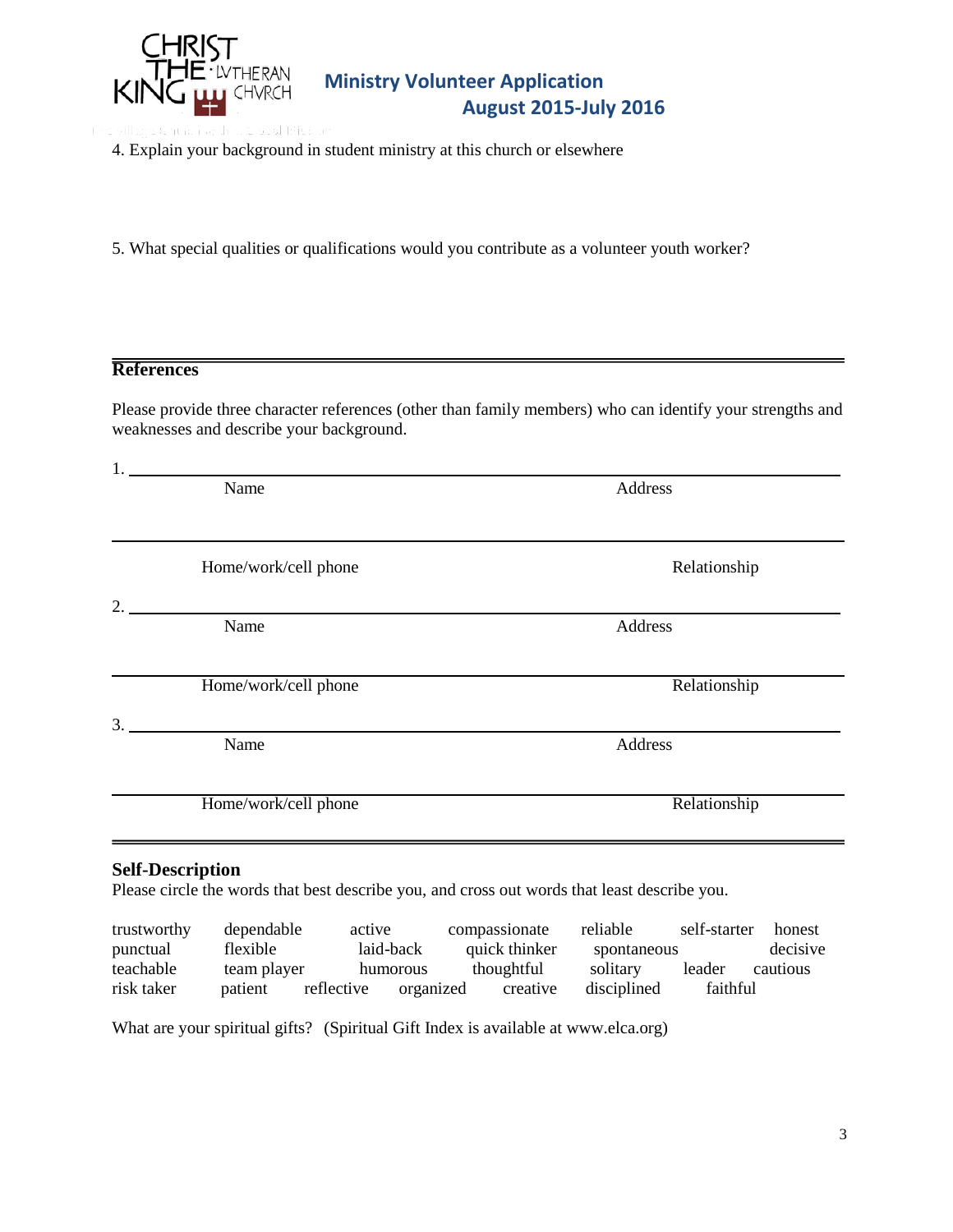

- 4. Explain your background in student ministry at this church or elsewhere
- 5. What special qualities or qualifications would you contribute as a volunteer youth worker?

### **References**

Please provide three character references (other than family members) who can identify your strengths and weaknesses and describe your background.

| Address<br>Relationship |
|-------------------------|
|                         |
|                         |
| Address                 |
| Relationship            |
| Address                 |
| Relationship            |
|                         |

| trustworthy | dependable  | active                  | compassionate | reliable    | self-starter | honest   |
|-------------|-------------|-------------------------|---------------|-------------|--------------|----------|
| punctual    | flexible    | laid-back               | quick thinker | spontaneous |              | decisive |
| teachable   | team player | humorous                | thoughtful    | solitary    | leader       | cautious |
| risk taker  | patient     | reflective<br>organized | creative      | disciplined | faithful     |          |

What are your spiritual gifts? (Spiritual Gift Index is available at www.elca.org)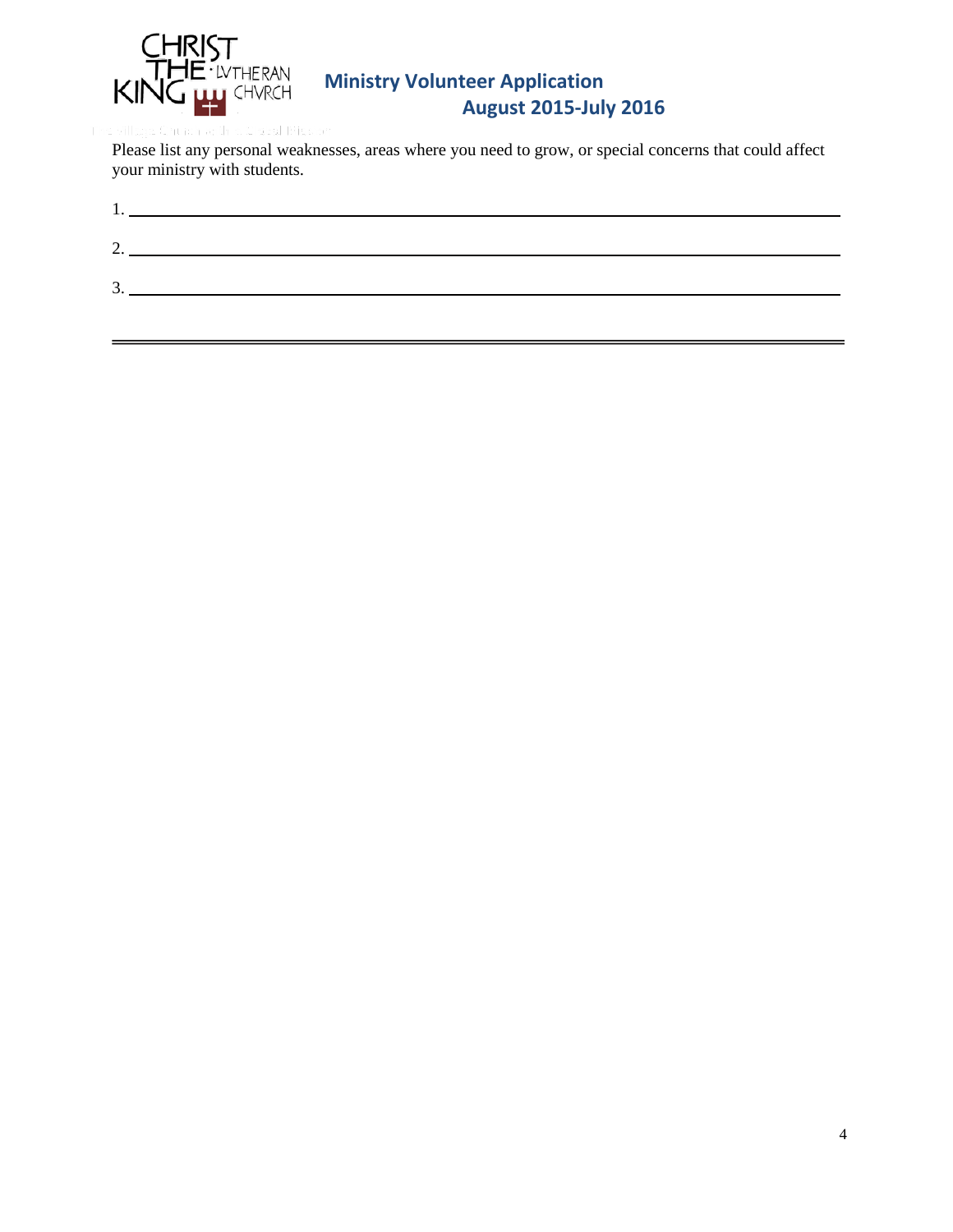

Please list any personal weaknesses, areas where you need to grow, or special concerns that could affect your ministry with students.

| <u>.</u> |  |
|----------|--|
|          |  |
| 3.       |  |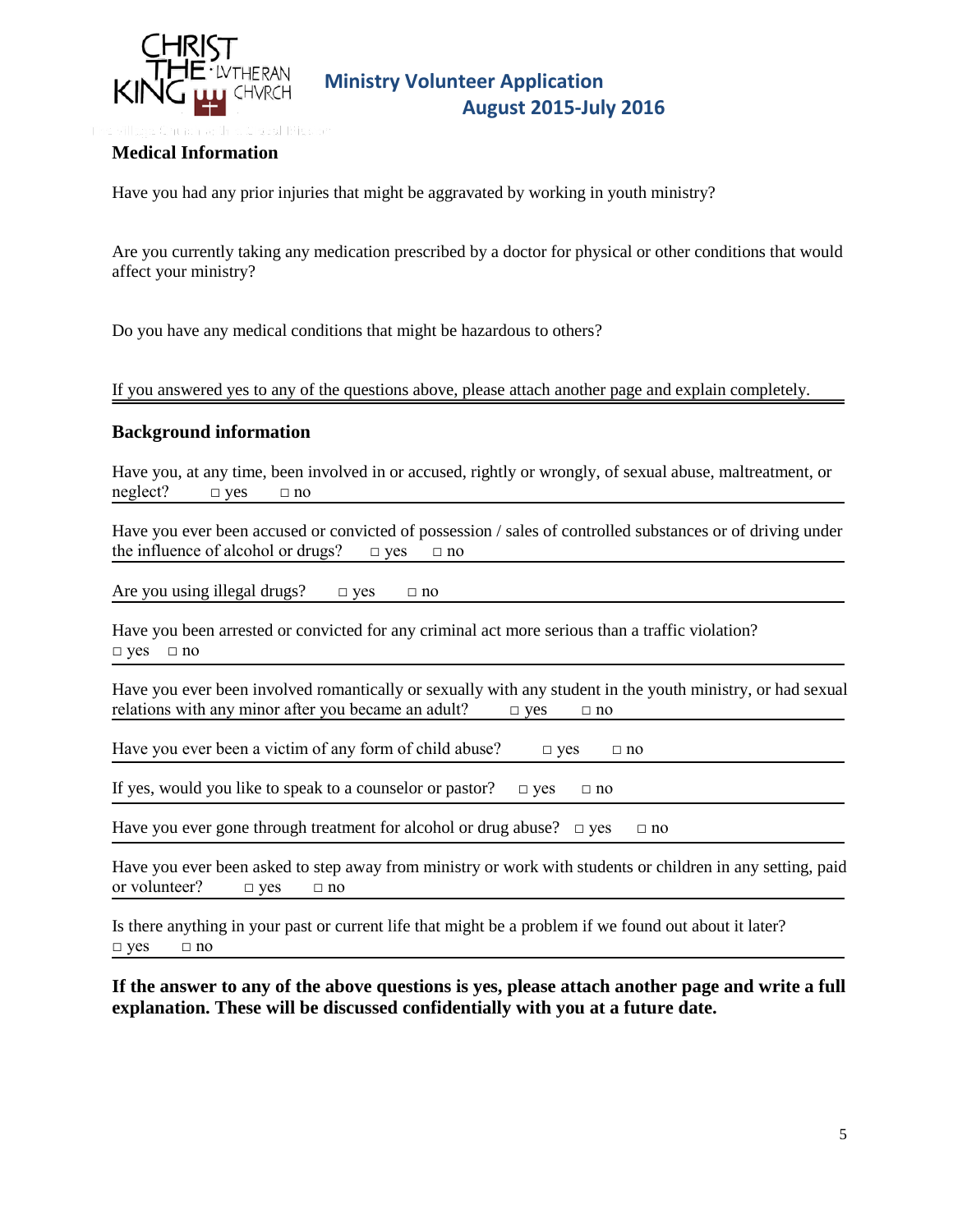

### **Medical Information**

Have you had any prior injuries that might be aggravated by working in youth ministry?

Are you currently taking any medication prescribed by a doctor for physical or other conditions that would affect your ministry?

Do you have any medical conditions that might be hazardous to others?

If you answered yes to any of the questions above, please attach another page and explain completely.

#### **Background information**

Have you, at any time, been involved in or accused, rightly or wrongly, of sexual abuse, maltreatment, or  $neglect?$   $\Box$  yes  $\Box$  no

Have you ever been accused or convicted of possession / sales of controlled substances or of driving under the influence of alcohol or drugs?  $\Box$  yes  $\Box$  no

Are you using illegal drugs?  $\Box$  yes  $\Box$  no

Have you been arrested or convicted for any criminal act more serious than a traffic violation? □ yes □ no

Have you ever been involved romantically or sexually with any student in the youth ministry, or had sexual relations with any minor after you became an adult?  $\Box$  yes  $\Box$  no

Have you ever been a victim of any form of child abuse?  $\Box$  yes  $\Box$  no

If yes, would you like to speak to a counselor or pastor?  $\Box$  yes  $\Box$  no

Have you ever gone through treatment for alcohol or drug abuse?  $\Box$  yes  $\Box$  no

Have you ever been asked to step away from ministry or work with students or children in any setting, paid or volunteer?  $\Box$  yes  $\Box$  no

Is there anything in your past or current life that might be a problem if we found out about it later?  $\Box$  yes  $\Box$  no

**If the answer to any of the above questions is yes, please attach another page and write a full explanation. These will be discussed confidentially with you at a future date.**